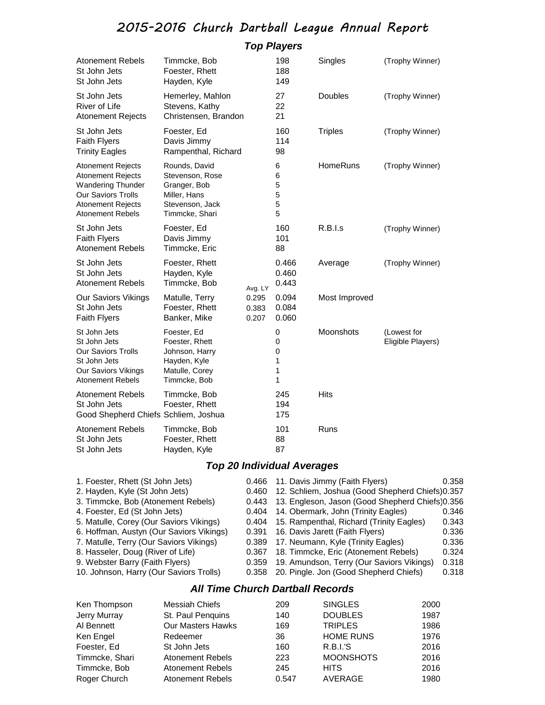## 2015-2016 Church Dartball League Annual Report

### *Top Players*

| <b>Atonement Rebels</b><br>St John Jets<br>St John Jets                                                                                                              | Timmcke, Bob<br>Foester, Rhett<br>Hayden, Kyle                                                        |                         | 198<br>188<br>149                                                                                                                                                                                                                                | Singles        | (Trophy Winner)                  |  |
|----------------------------------------------------------------------------------------------------------------------------------------------------------------------|-------------------------------------------------------------------------------------------------------|-------------------------|--------------------------------------------------------------------------------------------------------------------------------------------------------------------------------------------------------------------------------------------------|----------------|----------------------------------|--|
| St John Jets<br><b>River of Life</b><br><b>Atonement Rejects</b>                                                                                                     | Hemerley, Mahlon<br>Stevens, Kathy<br>Christensen, Brandon                                            |                         | 27<br>22<br>21                                                                                                                                                                                                                                   | Doubles        | (Trophy Winner)                  |  |
| St John Jets<br><b>Faith Flyers</b><br><b>Trinity Eagles</b>                                                                                                         | Foester, Ed<br>Davis Jimmy<br>Rampenthal, Richard                                                     |                         | 160<br>114<br>98                                                                                                                                                                                                                                 | <b>Triples</b> | (Trophy Winner)                  |  |
| <b>Atonement Rejects</b><br><b>Atonement Rejects</b><br><b>Wandering Thunder</b><br><b>Our Saviors Trolls</b><br><b>Atonement Rejects</b><br><b>Atonement Rebels</b> | Rounds, David<br>Stevenson, Rose<br>Granger, Bob<br>Miller, Hans<br>Stevenson, Jack<br>Timmcke, Shari |                         | 6<br>6<br>5<br>5<br>5<br>5                                                                                                                                                                                                                       | HomeRuns       | (Trophy Winner)                  |  |
| St John Jets<br><b>Faith Flyers</b><br><b>Atonement Rebels</b>                                                                                                       | Foester, Ed<br>Davis Jimmy<br>Timmcke, Eric                                                           |                         | 160<br>101<br>88                                                                                                                                                                                                                                 | R.B.I.s        | (Trophy Winner)                  |  |
| St John Jets<br>St John Jets<br><b>Atonement Rebels</b>                                                                                                              | Foester, Rhett<br>Hayden, Kyle<br>Timmcke, Bob                                                        | Avg. LY                 | 0.466<br>0.460<br>0.443                                                                                                                                                                                                                          | Average        | (Trophy Winner)                  |  |
| <b>Our Saviors Vikings</b><br>St John Jets<br><b>Faith Flyers</b>                                                                                                    | Matulle, Terry<br>Foester, Rhett<br>Banker, Mike                                                      | 0.295<br>0.383<br>0.207 | 0.094<br>0.084<br>0.060                                                                                                                                                                                                                          | Most Improved  |                                  |  |
| St John Jets<br>St John Jets<br><b>Our Saviors Trolls</b><br>St John Jets<br>Our Saviors Vikings<br><b>Atonement Rebels</b>                                          | Foester, Ed<br>Foester, Rhett<br>Johnson, Harry<br>Hayden, Kyle<br>Matulle, Corey<br>Timmcke, Bob     |                         | 0<br>0<br>0<br>1<br>1<br>1                                                                                                                                                                                                                       | Moonshots      | (Lowest for<br>Eligible Players) |  |
| <b>Atonement Rebels</b><br>St John Jets<br>Good Shepherd Chiefs Schliem, Joshua                                                                                      | Timmcke, Bob<br>Foester, Rhett                                                                        |                         | 245<br>194<br>175                                                                                                                                                                                                                                | <b>Hits</b>    |                                  |  |
| <b>Atonement Rebels</b><br>St John Jets<br>St John Jets                                                                                                              | Timmcke, Bob<br>Foester, Rhett<br>Hayden, Kyle                                                        |                         | 101<br>88<br>87                                                                                                                                                                                                                                  | Runs           |                                  |  |
|                                                                                                                                                                      |                                                                                                       |                         | <b>Top 20 Individual Averages</b>                                                                                                                                                                                                                |                |                                  |  |
| 1. Foester, Rhett (St John Jets)<br>2. Hayden, Kyle (St John Jets)<br>3. Timmcke, Bob (Atonement Rebels)<br>4. Foester, Ed (St John Jets)                            |                                                                                                       |                         | 11. Davis Jimmy (Faith Flyers)<br>0.358<br>12. Schliem, Joshua (Good Shepherd Chiefs) 0.357<br>13. Engleson, Jason (Good Shepherd Chiefs)0.356<br>14. Obermark, John (Trinity Eagles)<br>0.346<br>$\blacksquare$ Dialected $\mathcal{T}$<br>0.40 |                |                                  |  |

5. Matulle, Corey (Our Saviors Vikings) 0.404 15. Rampenthal, Richard (Trinity Eagles) 0.343 6. Hoffman, Austyn (Our Saviors Vikings) 0.391 16. Davis Jarett (Faith Flyers) 0.336 7. Matulle, Terry (Our Saviors Vikings) 0.389 17. Neumann, Kyle (Trinity Eagles) 0.336 8. Hasseler, Doug (River of Life) 0.367 18. Timmcke, Eric (Atonement Rebels) 0.324 9. Webster Barry (Faith Flyers) 0.359 19. Amundson, Terry (Our Saviors Vikings) 0.318 10. Johnson, Harry (Our Saviors Trolls) 0.358 20. Pingle. Jon (Good Shepherd Chiefs) 0.318

#### *All Time Church Dartball Records*

| Ken Thompson   | Messiah Chiefs          | 209   | <b>SINGLES</b>   | 2000 |
|----------------|-------------------------|-------|------------------|------|
| Jerry Murray   | St. Paul Penquins       | 140   | <b>DOUBLES</b>   | 1987 |
| Al Bennett     | Our Masters Hawks       | 169   | <b>TRIPLES</b>   | 1986 |
| Ken Engel      | Redeemer                | 36    | <b>HOME RUNS</b> | 1976 |
| Foester, Ed    | St John Jets            | 160   | R.B.I.S          | 2016 |
| Timmcke, Shari | <b>Atonement Rebels</b> | 223   | <b>MOONSHOTS</b> | 2016 |
| Timmcke, Bob   | <b>Atonement Rebels</b> | 245   | <b>HITS</b>      | 2016 |
| Roger Church   | <b>Atonement Rebels</b> | 0.547 | AVERAGE          | 1980 |